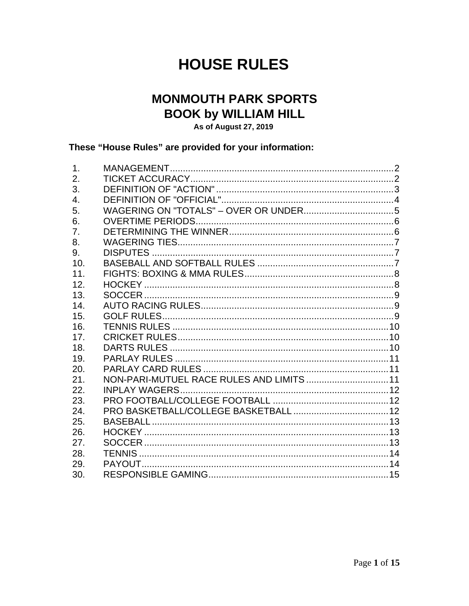# **HOUSE RULES**

# **MONMOUTH PARK SPORTS BOOK by WILLIAM HILL**

As of August 27, 2019

#### These "House Rules" are provided for your information:

| $\mathbf 1$ .    |                                           |  |
|------------------|-------------------------------------------|--|
| 2.               |                                           |  |
| 3.               |                                           |  |
| $\overline{4}$ . |                                           |  |
| 5.               |                                           |  |
| 6.               |                                           |  |
| 7.               |                                           |  |
| 8.               |                                           |  |
| 9.               |                                           |  |
| 10.              |                                           |  |
| 11.              |                                           |  |
| 12.              |                                           |  |
| 13.              |                                           |  |
| 14.              |                                           |  |
| 15.              |                                           |  |
| 16.              |                                           |  |
| 17.              |                                           |  |
| 18.              |                                           |  |
| 19.              |                                           |  |
| 20.              |                                           |  |
| 21.              | NON-PARI-MUTUEL RACE RULES AND LIMITS  11 |  |
| 22.              |                                           |  |
| 23.              |                                           |  |
| 24.              |                                           |  |
| 25.              |                                           |  |
| 26.              |                                           |  |
| 27.              |                                           |  |
| 28.              |                                           |  |
| 29.              |                                           |  |
| 30.              |                                           |  |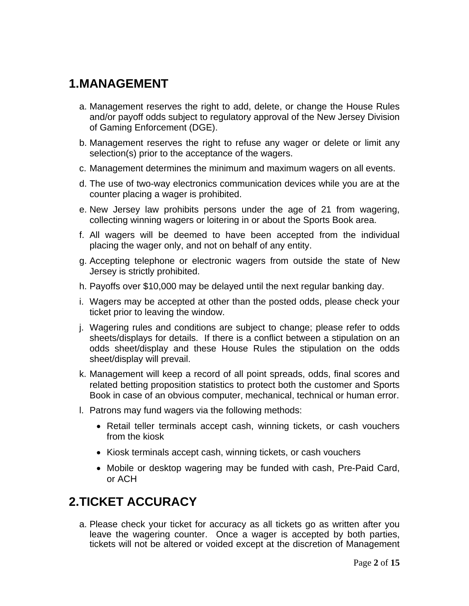#### **1. MANAGEMENT**

- a. Management reserves the right to add, delete, or change the House Rules and/or payoff odds subject to regulatory approval of the New Jersey Division of Gaming Enforcement (DGE).
- b. Management reserves the right to refuse any wager or delete or limit any selection(s) prior to the acceptance of the wagers.
- c. Management determines the minimum and maximum wagers on all events.
- d. The use of two-way electronics communication devices while you are at the counter placing a wager is prohibited.
- e. New Jersey law prohibits persons under the age of 21 from wagering, collecting winning wagers or loitering in or about the Sports Book area.
- f. All wagers will be deemed to have been accepted from the individual placing the wager only, and not on behalf of any entity.
- g. Accepting telephone or electronic wagers from outside the state of New Jersey is strictly prohibited.
- h. Payoffs over \$10,000 may be delayed until the next regular banking day.
- i. Wagers may be accepted at other than the posted odds, please check your ticket prior to leaving the window.
- j. Wagering rules and conditions are subject to change; please refer to odds sheets/displays for details. If there is a conflict between a stipulation on an odds sheet/display and these House Rules the stipulation on the odds sheet/display will prevail.
- k. Management will keep a record of all point spreads, odds, final scores and related betting proposition statistics to protect both the customer and Sports Book in case of an obvious computer, mechanical, technical or human error.
- l. Patrons may fund wagers via the following methods:
	- Retail teller terminals accept cash, winning tickets, or cash vouchers from the kiosk
	- Kiosk terminals accept cash, winning tickets, or cash vouchers
	- Mobile or desktop wagering may be funded with cash, Pre-Paid Card, or ACH

# **2. TICKET ACCURACY**

a. Please check your ticket for accuracy as all tickets go as written after you leave the wagering counter. Once a wager is accepted by both parties, tickets will not be altered or voided except at the discretion of Management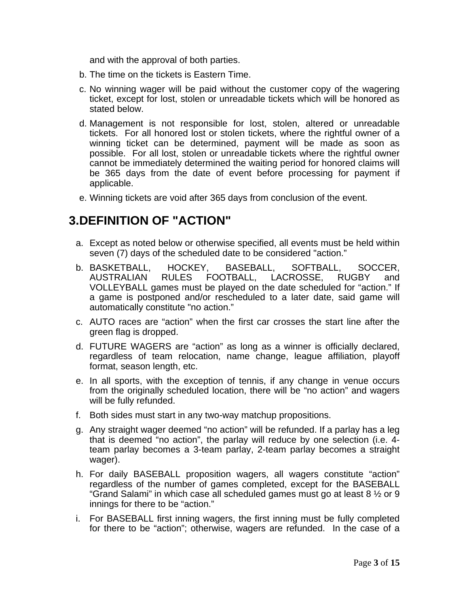and with the approval of both parties.

- b. The time on the tickets is Eastern Time.
- c. No winning wager will be paid without the customer copy of the wagering ticket, except for lost, stolen or unreadable tickets which will be honored as stated below.
- d. Management is not responsible for lost, stolen, altered or unreadable tickets. For all honored lost or stolen tickets, where the rightful owner of a winning ticket can be determined, payment will be made as soon as possible. For all lost, stolen or unreadable tickets where the rightful owner cannot be immediately determined the waiting period for honored claims will be 365 days from the date of event before processing for payment if applicable.
- e. Winning tickets are void after 365 days from conclusion of the event.

#### **3. DEFINITION OF "ACTION"**

- a. Except as noted below or otherwise specified, all events must be held within seven (7) days of the scheduled date to be considered "action."
- b. BASKETBALL, HOCKEY, BASEBALL, SOFTBALL, SOCCER,<br>AUSTRALIAN RULES FOOTBALL, LACROSSE, RUGBY and AUSTRALIAN RULES FOOTBALL, LACROSSE, RUGBY and VOLLEYBALL games must be played on the date scheduled for "action." If a game is postponed and/or rescheduled to a later date, said game will automatically constitute "no action."
- c. AUTO races are "action" when the first car crosses the start line after the green flag is dropped.
- d. FUTURE WAGERS are "action" as long as a winner is officially declared, regardless of team relocation, name change, league affiliation, playoff format, season length, etc.
- e. In all sports, with the exception of tennis, if any change in venue occurs from the originally scheduled location, there will be "no action" and wagers will be fully refunded.
- f. Both sides must start in any two-way matchup propositions.
- g. Any straight wager deemed "no action" will be refunded. If a parlay has a leg that is deemed "no action", the parlay will reduce by one selection (i.e. 4 team parlay becomes a 3-team parlay, 2-team parlay becomes a straight wager).
- h. For daily BASEBALL proposition wagers, all wagers constitute "action" regardless of the number of games completed, except for the BASEBALL "Grand Salami" in which case all scheduled games must go at least 8 ½ or 9 innings for there to be "action."
- i. For BASEBALL first inning wagers, the first inning must be fully completed for there to be "action"; otherwise, wagers are refunded. In the case of a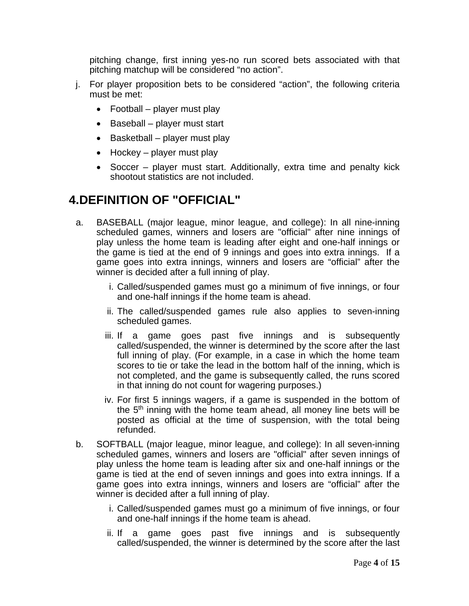pitching change, first inning yes-no run scored bets associated with that pitching matchup will be considered "no action".

- j. For player proposition bets to be considered "action", the following criteria must be met:
	- Football player must play
	- Baseball player must start
	- $\bullet$  Basketball player must play
	- $\bullet$  Hockey player must play
	- Soccer player must start. Additionally, extra time and penalty kick shootout statistics are not included.

# **4. DEFINITION OF "OFFICIAL"**

- a. BASEBALL (major league, minor league, and college): In all nine-inning scheduled games, winners and losers are "official" after nine innings of play unless the home team is leading after eight and one-half innings or the game is tied at the end of 9 innings and goes into extra innings. If a game goes into extra innings, winners and losers are "official" after the winner is decided after a full inning of play.
	- i. Called/suspended games must go a minimum of five innings, or four and one-half innings if the home team is ahead.
	- ii. The called/suspended games rule also applies to seven-inning scheduled games.
	- iii. If a game goes past five innings and is subsequently called/suspended, the winner is determined by the score after the last full inning of play. (For example, in a case in which the home team scores to tie or take the lead in the bottom half of the inning, which is not completed, and the game is subsequently called, the runs scored in that inning do not count for wagering purposes.)
	- iv. For first 5 innings wagers, if a game is suspended in the bottom of the  $5<sup>th</sup>$  inning with the home team ahead, all money line bets will be posted as official at the time of suspension, with the total being refunded.
- b. SOFTBALL (major league, minor league, and college): In all seven-inning scheduled games, winners and losers are "official" after seven innings of play unless the home team is leading after six and one-half innings or the game is tied at the end of seven innings and goes into extra innings. If a game goes into extra innings, winners and losers are "official" after the winner is decided after a full inning of play.
	- i. Called/suspended games must go a minimum of five innings, or four and one-half innings if the home team is ahead.
	- ii. If a game goes past five innings and is subsequently called/suspended, the winner is determined by the score after the last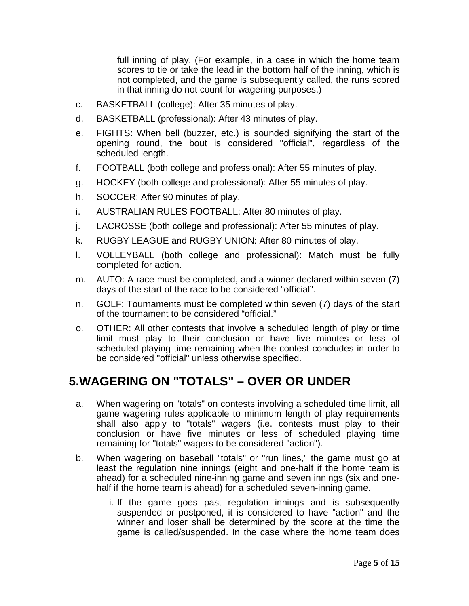full inning of play. (For example, in a case in which the home team scores to tie or take the lead in the bottom half of the inning, which is not completed, and the game is subsequently called, the runs scored in that inning do not count for wagering purposes.)

- c. BASKETBALL (college): After 35 minutes of play.
- d. BASKETBALL (professional): After 43 minutes of play.
- e. FIGHTS: When bell (buzzer, etc.) is sounded signifying the start of the opening round, the bout is considered "official", regardless of the scheduled length.
- f. FOOTBALL (both college and professional): After 55 minutes of play.
- g. HOCKEY (both college and professional): After 55 minutes of play.
- h. SOCCER: After 90 minutes of play.
- i. AUSTRALIAN RULES FOOTBALL: After 80 minutes of play.
- j. LACROSSE (both college and professional): After 55 minutes of play.
- k. RUGBY LEAGUE and RUGBY UNION: After 80 minutes of play.
- l. VOLLEYBALL (both college and professional): Match must be fully completed for action.
- m. AUTO: A race must be completed, and a winner declared within seven (7) days of the start of the race to be considered "official".
- n. GOLF: Tournaments must be completed within seven (7) days of the start of the tournament to be considered "official."
- o. OTHER: All other contests that involve a scheduled length of play or time limit must play to their conclusion or have five minutes or less of scheduled playing time remaining when the contest concludes in order to be considered "official" unless otherwise specified.

# **5. WAGERING ON "TOTALS" – OVER OR UNDER**

- a. When wagering on "totals" on contests involving a scheduled time limit, all game wagering rules applicable to minimum length of play requirements shall also apply to "totals" wagers (i.e. contests must play to their conclusion or have five minutes or less of scheduled playing time remaining for "totals" wagers to be considered "action").
- b. When wagering on baseball "totals" or "run lines," the game must go at least the regulation nine innings (eight and one-half if the home team is ahead) for a scheduled nine-inning game and seven innings (six and onehalf if the home team is ahead) for a scheduled seven-inning game.
	- i. If the game goes past regulation innings and is subsequently suspended or postponed, it is considered to have "action" and the winner and loser shall be determined by the score at the time the game is called/suspended. In the case where the home team does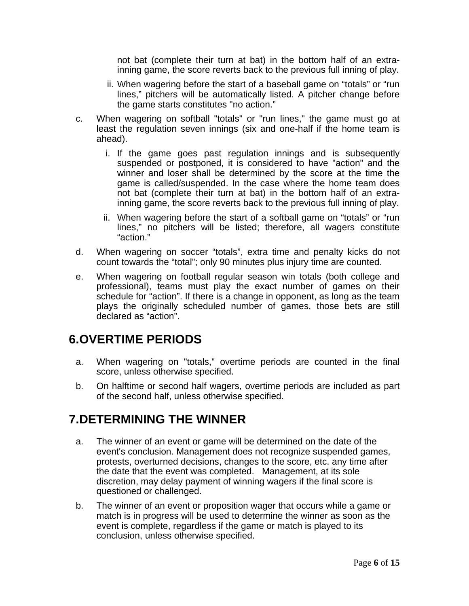not bat (complete their turn at bat) in the bottom half of an extrainning game, the score reverts back to the previous full inning of play.

- ii. When wagering before the start of a baseball game on "totals" or "run lines," pitchers will be automatically listed. A pitcher change before the game starts constitutes "no action."
- c. When wagering on softball "totals" or "run lines," the game must go at least the regulation seven innings (six and one-half if the home team is ahead).
	- i. If the game goes past regulation innings and is subsequently suspended or postponed, it is considered to have "action" and the winner and loser shall be determined by the score at the time the game is called/suspended. In the case where the home team does not bat (complete their turn at bat) in the bottom half of an extrainning game, the score reverts back to the previous full inning of play.
	- ii. When wagering before the start of a softball game on "totals" or "run lines," no pitchers will be listed; therefore, all wagers constitute "action."
- d. When wagering on soccer "totals", extra time and penalty kicks do not count towards the "total"; only 90 minutes plus injury time are counted.
- e. When wagering on football regular season win totals (both college and professional), teams must play the exact number of games on their schedule for "action". If there is a change in opponent, as long as the team plays the originally scheduled number of games, those bets are still declared as "action".

### **6. OVERTIME PERIODS**

- a. When wagering on "totals," overtime periods are counted in the final score, unless otherwise specified.
- b. On halftime or second half wagers, overtime periods are included as part of the second half, unless otherwise specified.

# **7. DETERMINING THE WINNER**

- a. The winner of an event or game will be determined on the date of the event's conclusion. Management does not recognize suspended games, protests, overturned decisions, changes to the score, etc. any time after the date that the event was completed. Management, at its sole discretion, may delay payment of winning wagers if the final score is questioned or challenged.
- b. The winner of an event or proposition wager that occurs while a game or match is in progress will be used to determine the winner as soon as the event is complete, regardless if the game or match is played to its conclusion, unless otherwise specified.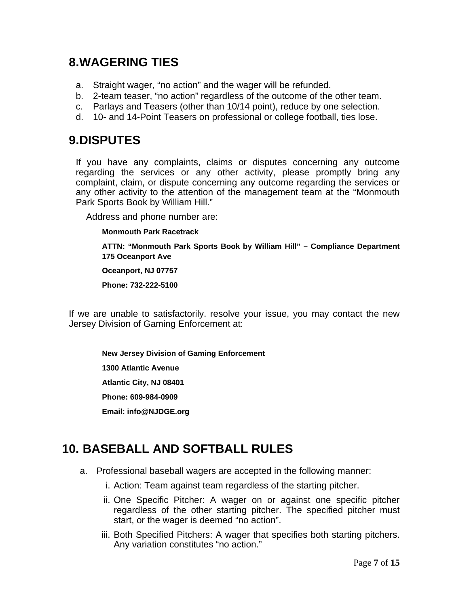### **8. WAGERING TIES**

- a. Straight wager, "no action" and the wager will be refunded.
- b. 2-team teaser, "no action" regardless of the outcome of the other team.
- c. Parlays and Teasers (other than 10/14 point), reduce by one selection.
- d. 10- and 14-Point Teasers on professional or college football, ties lose.

# **9. DISPUTES**

If you have any complaints, claims or disputes concerning any outcome regarding the services or any other activity, please promptly bring any complaint, claim, or dispute concerning any outcome regarding the services or any other activity to the attention of the management team at the "Monmouth Park Sports Book by William Hill."

Address and phone number are:

#### **Monmouth Park Racetrack**

**ATTN: "Monmouth Park Sports Book by William Hill" – Compliance Department 175 Oceanport Ave** 

**Oceanport, NJ 07757** 

**Phone: 732-222-5100** 

If we are unable to satisfactorily. resolve your issue, you may contact the new Jersey Division of Gaming Enforcement at:

**New Jersey Division of Gaming Enforcement 1300 Atlantic Avenue Atlantic City, NJ 08401 Phone: 609-984-0909 Email: info@NJDGE.org** 

# **10. BASEBALL AND SOFTBALL RULES**

- a. Professional baseball wagers are accepted in the following manner:
	- i. Action: Team against team regardless of the starting pitcher.
	- ii. One Specific Pitcher: A wager on or against one specific pitcher regardless of the other starting pitcher. The specified pitcher must start, or the wager is deemed "no action".
	- iii. Both Specified Pitchers: A wager that specifies both starting pitchers. Any variation constitutes "no action."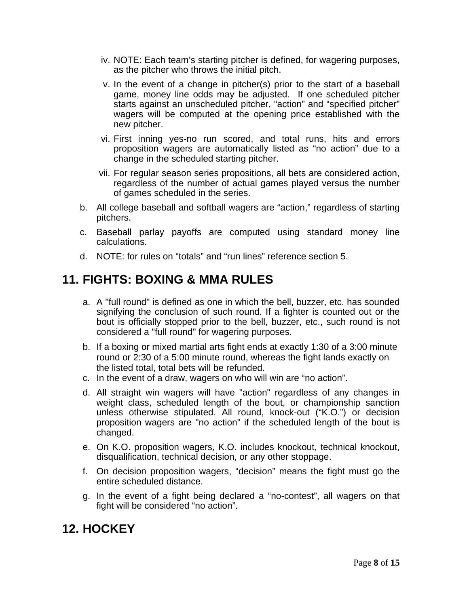- iv. NOTE: Each team's starting pitcher is defined, for wagering purposes, as the pitcher who throws the initial pitch.
- v. In the event of a change in pitcher(s) prior to the start of a baseball game, money line odds may be adjusted. If one scheduled pitcher starts against an unscheduled pitcher, "action" and "specified pitcher" wagers will be computed at the opening price established with the new pitcher.
- vi. First inning yes-no run scored, and total runs, hits and errors proposition wagers are automatically listed as "no action" due to a change in the scheduled starting pitcher.
- vii. For regular season series propositions, all bets are considered action, regardless of the number of actual games played versus the number of games scheduled in the series.
- b. All college baseball and softball wagers are "action," regardless of starting pitchers.
- c. Baseball parlay payoffs are computed using standard money line calculations.
- d. NOTE: for rules on "totals" and "run lines" reference section 5.

# **11. FIGHTS: BOXING & MMA RULES**

- a. A "full round" is defined as one in which the bell, buzzer, etc. has sounded signifying the conclusion of such round. If a fighter is counted out or the bout is officially stopped prior to the bell, buzzer, etc., such round is not considered a "full round" for wagering purposes.
- b. If a boxing or mixed martial arts fight ends at exactly 1:30 of a 3:00 minute round or 2:30 of a 5:00 minute round, whereas the fight lands exactly on the listed total, total bets will be refunded.
- c. In the event of a draw, wagers on who will win are "no action".
- d. All straight win wagers will have "action" regardless of any changes in weight class, scheduled length of the bout, or championship sanction unless otherwise stipulated. All round, knock-out ("K.O.") or decision proposition wagers are "no action" if the scheduled length of the bout is changed.
- e. On K.O. proposition wagers, K.O. includes knockout, technical knockout, disqualification, technical decision, or any other stoppage.
- f. On decision proposition wagers, "decision" means the fight must go the entire scheduled distance.
- g. In the event of a fight being declared a "no-contest", all wagers on that fight will be considered "no action".

### **12. HOCKEY**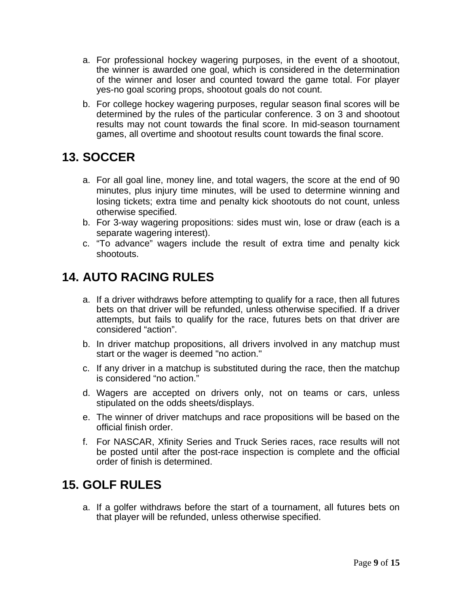- a. For professional hockey wagering purposes, in the event of a shootout, the winner is awarded one goal, which is considered in the determination of the winner and loser and counted toward the game total. For player yes-no goal scoring props, shootout goals do not count.
- b. For college hockey wagering purposes, regular season final scores will be determined by the rules of the particular conference. 3 on 3 and shootout results may not count towards the final score. In mid-season tournament games, all overtime and shootout results count towards the final score.

### **13. SOCCER**

- a. For all goal line, money line, and total wagers, the score at the end of 90 minutes, plus injury time minutes, will be used to determine winning and losing tickets; extra time and penalty kick shootouts do not count, unless otherwise specified.
- b. For 3-way wagering propositions: sides must win, lose or draw (each is a separate wagering interest).
- c. "To advance" wagers include the result of extra time and penalty kick shootouts.

# **14. AUTO RACING RULES**

- a. If a driver withdraws before attempting to qualify for a race, then all futures bets on that driver will be refunded, unless otherwise specified. If a driver attempts, but fails to qualify for the race, futures bets on that driver are considered "action".
- b. In driver matchup propositions, all drivers involved in any matchup must start or the wager is deemed "no action."
- c. If any driver in a matchup is substituted during the race, then the matchup is considered "no action."
- d. Wagers are accepted on drivers only, not on teams or cars, unless stipulated on the odds sheets/displays.
- e. The winner of driver matchups and race propositions will be based on the official finish order.
- f. For NASCAR, Xfinity Series and Truck Series races, race results will not be posted until after the post-race inspection is complete and the official order of finish is determined.

### **15. GOLF RULES**

a. If a golfer withdraws before the start of a tournament, all futures bets on that player will be refunded, unless otherwise specified.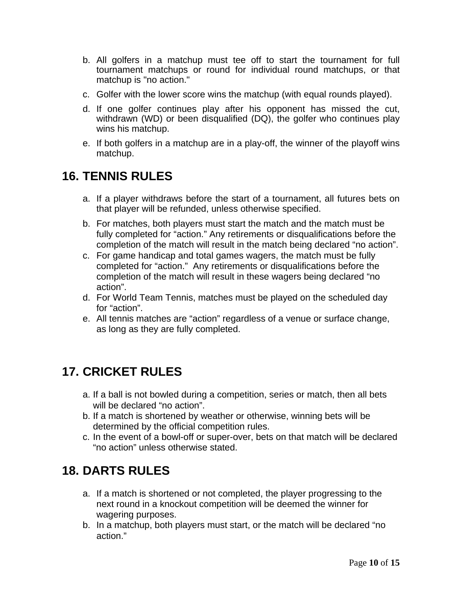- b. All golfers in a matchup must tee off to start the tournament for full tournament matchups or round for individual round matchups, or that matchup is "no action."
- c. Golfer with the lower score wins the matchup (with equal rounds played).
- d. If one golfer continues play after his opponent has missed the cut, withdrawn (WD) or been disqualified (DQ), the golfer who continues play wins his matchup.
- e. If both golfers in a matchup are in a play-off, the winner of the playoff wins matchup.

# **16. TENNIS RULES**

- a. If a player withdraws before the start of a tournament, all futures bets on that player will be refunded, unless otherwise specified.
- b. For matches, both players must start the match and the match must be fully completed for "action." Any retirements or disqualifications before the completion of the match will result in the match being declared "no action".
- c. For game handicap and total games wagers, the match must be fully completed for "action." Any retirements or disqualifications before the completion of the match will result in these wagers being declared "no action".
- d. For World Team Tennis, matches must be played on the scheduled day for "action".
- e. All tennis matches are "action" regardless of a venue or surface change, as long as they are fully completed.

# **17. CRICKET RULES**

- a. If a ball is not bowled during a competition, series or match, then all bets will be declared "no action".
- b. If a match is shortened by weather or otherwise, winning bets will be determined by the official competition rules.
- c. In the event of a bowl-off or super-over, bets on that match will be declared "no action" unless otherwise stated.

# **18. DARTS RULES**

- a. If a match is shortened or not completed, the player progressing to the next round in a knockout competition will be deemed the winner for wagering purposes.
- b. In a matchup, both players must start, or the match will be declared "no action."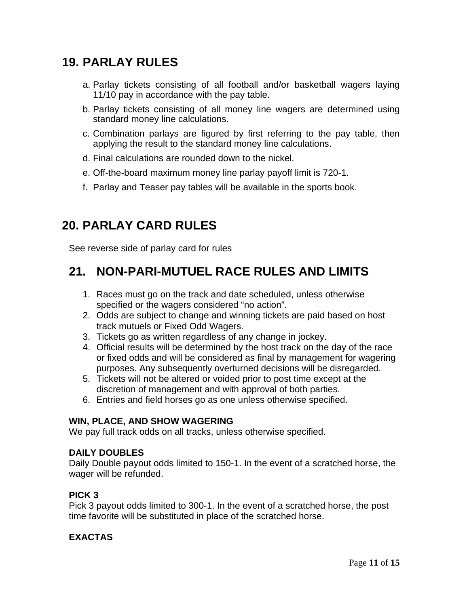# **19. PARLAY RULES**

- a. Parlay tickets consisting of all football and/or basketball wagers laying 11/10 pay in accordance with the pay table.
- b. Parlay tickets consisting of all money line wagers are determined using standard money line calculations.
- c. Combination parlays are figured by first referring to the pay table, then applying the result to the standard money line calculations.
- d. Final calculations are rounded down to the nickel.
- e. Off-the-board maximum money line parlay payoff limit is 720-1.
- f. Parlay and Teaser pay tables will be available in the sports book.

# **20. PARLAY CARD RULES**

See reverse side of parlay card for rules

#### **21. NON-PARI-MUTUEL RACE RULES AND LIMITS**

- 1. Races must go on the track and date scheduled, unless otherwise specified or the wagers considered "no action".
- 2. Odds are subject to change and winning tickets are paid based on host track mutuels or Fixed Odd Wagers.
- 3. Tickets go as written regardless of any change in jockey.
- 4. Official results will be determined by the host track on the day of the race or fixed odds and will be considered as final by management for wagering purposes. Any subsequently overturned decisions will be disregarded.
- 5. Tickets will not be altered or voided prior to post time except at the discretion of management and with approval of both parties.
- 6. Entries and field horses go as one unless otherwise specified.

#### **WIN, PLACE, AND SHOW WAGERING**

We pay full track odds on all tracks, unless otherwise specified.

#### **DAILY DOUBLES**

Daily Double payout odds limited to 150-1. In the event of a scratched horse, the wager will be refunded.

#### **PICK 3**

Pick 3 payout odds limited to 300-1. In the event of a scratched horse, the post time favorite will be substituted in place of the scratched horse.

#### **EXACTAS**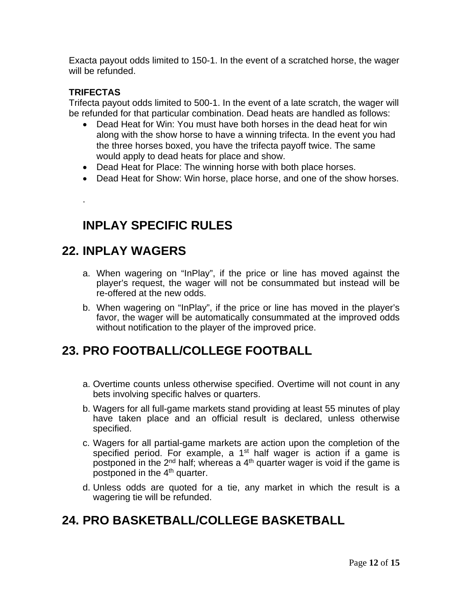Exacta payout odds limited to 150-1. In the event of a scratched horse, the wager will be refunded.

#### **TRIFECTAS**

.

Trifecta payout odds limited to 500-1. In the event of a late scratch, the wager will be refunded for that particular combination. Dead heats are handled as follows:

- Dead Heat for Win: You must have both horses in the dead heat for win along with the show horse to have a winning trifecta. In the event you had the three horses boxed, you have the trifecta payoff twice. The same would apply to dead heats for place and show.
- Dead Heat for Place: The winning horse with both place horses.
- Dead Heat for Show: Win horse, place horse, and one of the show horses.

# **INPLAY SPECIFIC RULES**

### **22. INPLAY WAGERS**

- a. When wagering on "InPlay", if the price or line has moved against the player's request, the wager will not be consummated but instead will be re-offered at the new odds.
- b. When wagering on "InPlay", if the price or line has moved in the player's favor, the wager will be automatically consummated at the improved odds without notification to the player of the improved price.

### **23. PRO FOOTBALL/COLLEGE FOOTBALL**

- a. Overtime counts unless otherwise specified. Overtime will not count in any bets involving specific halves or quarters.
- b. Wagers for all full-game markets stand providing at least 55 minutes of play have taken place and an official result is declared, unless otherwise specified.
- c. Wagers for all partial-game markets are action upon the completion of the specified period. For example, a  $1<sup>st</sup>$  half wager is action if a game is postponed in the  $2^{nd}$  half; whereas a  $4^{th}$  quarter wager is void if the game is postponed in the  $4<sup>th</sup>$  quarter.
- d. Unless odds are quoted for a tie, any market in which the result is a wagering tie will be refunded.

# **24. PRO BASKETBALL/COLLEGE BASKETBALL**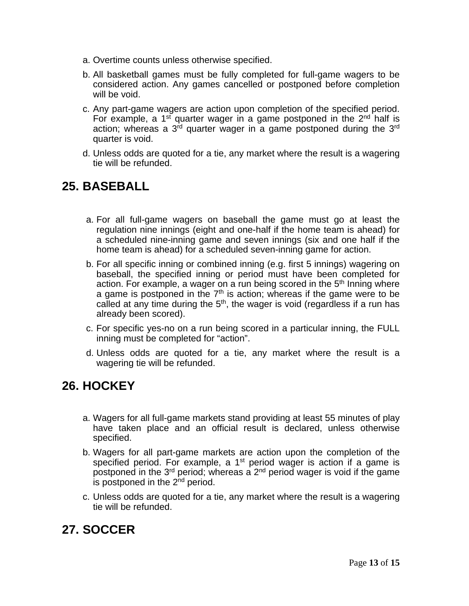- a. Overtime counts unless otherwise specified.
- b. All basketball games must be fully completed for full-game wagers to be considered action. Any games cancelled or postponed before completion will be void.
- c. Any part-game wagers are action upon completion of the specified period. For example, a 1<sup>st</sup> quarter wager in a game postponed in the  $2<sup>nd</sup>$  half is action; whereas a  $3<sup>rd</sup>$  quarter wager in a game postponed during the  $3<sup>rd</sup>$ quarter is void.
- d. Unless odds are quoted for a tie, any market where the result is a wagering tie will be refunded.

# **25. BASEBALL**

- a. For all full-game wagers on baseball the game must go at least the regulation nine innings (eight and one-half if the home team is ahead) for a scheduled nine-inning game and seven innings (six and one half if the home team is ahead) for a scheduled seven-inning game for action.
- b. For all specific inning or combined inning (e.g. first 5 innings) wagering on baseball, the specified inning or period must have been completed for action. For example, a wager on a run being scored in the 5<sup>th</sup> Inning where a game is postponed in the  $7<sup>th</sup>$  is action; whereas if the game were to be called at any time during the  $5<sup>th</sup>$ , the wager is void (regardless if a run has already been scored).
- c. For specific yes-no on a run being scored in a particular inning, the FULL inning must be completed for "action".
- d. Unless odds are quoted for a tie, any market where the result is a wagering tie will be refunded.

### **26. HOCKEY**

- a. Wagers for all full-game markets stand providing at least 55 minutes of play have taken place and an official result is declared, unless otherwise specified.
- b. Wagers for all part-game markets are action upon the completion of the specified period. For example, a 1<sup>st</sup> period wager is action if a game is postponed in the 3<sup>rd</sup> period; whereas a 2<sup>nd</sup> period wager is void if the game is postponed in the  $2<sup>nd</sup>$  period.
- c. Unless odds are quoted for a tie, any market where the result is a wagering tie will be refunded.

# **27. SOCCER**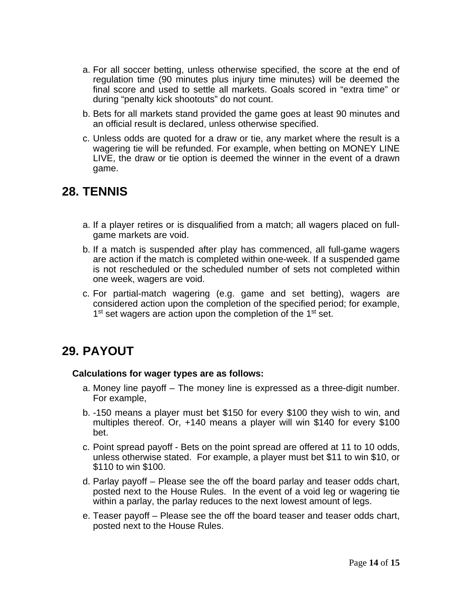- a. For all soccer betting, unless otherwise specified, the score at the end of regulation time (90 minutes plus injury time minutes) will be deemed the final score and used to settle all markets. Goals scored in "extra time" or during "penalty kick shootouts" do not count.
- b. Bets for all markets stand provided the game goes at least 90 minutes and an official result is declared, unless otherwise specified.
- c. Unless odds are quoted for a draw or tie, any market where the result is a wagering tie will be refunded. For example, when betting on MONEY LINE LIVE, the draw or tie option is deemed the winner in the event of a drawn game.

#### **28. TENNIS**

- a. If a player retires or is disqualified from a match; all wagers placed on fullgame markets are void.
- b. If a match is suspended after play has commenced, all full-game wagers are action if the match is completed within one-week. If a suspended game is not rescheduled or the scheduled number of sets not completed within one week, wagers are void.
- c. For partial-match wagering (e.g. game and set betting), wagers are considered action upon the completion of the specified period; for example, 1<sup>st</sup> set wagers are action upon the completion of the 1<sup>st</sup> set.

### **29. PAYOUT**

#### **Calculations for wager types are as follows:**

- a. Money line payoff The money line is expressed as a three-digit number. For example,
- b. -150 means a player must bet \$150 for every \$100 they wish to win, and multiples thereof. Or, +140 means a player will win \$140 for every \$100 bet.
- c. Point spread payoff Bets on the point spread are offered at 11 to 10 odds, unless otherwise stated. For example, a player must bet \$11 to win \$10, or \$110 to win \$100.
- d. Parlay payoff Please see the off the board parlay and teaser odds chart, posted next to the House Rules. In the event of a void leg or wagering tie within a parlay, the parlay reduces to the next lowest amount of legs.
- e. Teaser payoff Please see the off the board teaser and teaser odds chart, posted next to the House Rules.